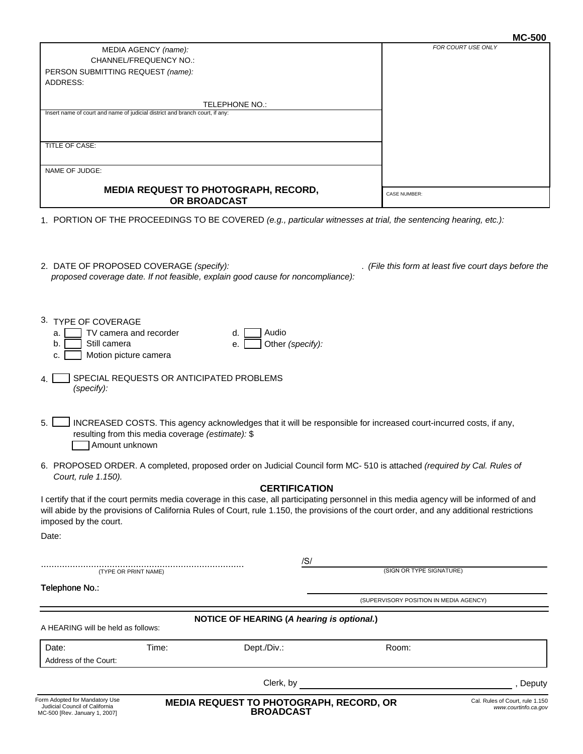| <b>MC-500</b> |
|---------------|
|---------------|

| MEDIA AGENCY (name):<br>CHANNEL/FREQUENCY NO.:                                                                                                                                                                                                                                                                           |                                                      | FOR COURT USE ONLY                                                                                                |                                 |
|--------------------------------------------------------------------------------------------------------------------------------------------------------------------------------------------------------------------------------------------------------------------------------------------------------------------------|------------------------------------------------------|-------------------------------------------------------------------------------------------------------------------|---------------------------------|
| PERSON SUBMITTING REQUEST (name):                                                                                                                                                                                                                                                                                        |                                                      |                                                                                                                   |                                 |
| ADDRESS:                                                                                                                                                                                                                                                                                                                 |                                                      |                                                                                                                   |                                 |
|                                                                                                                                                                                                                                                                                                                          | TELEPHONE NO.:                                       |                                                                                                                   |                                 |
| Insert name of court and name of judicial district and branch court, if any:                                                                                                                                                                                                                                             |                                                      |                                                                                                                   |                                 |
|                                                                                                                                                                                                                                                                                                                          |                                                      |                                                                                                                   |                                 |
| TITLE OF CASE:                                                                                                                                                                                                                                                                                                           |                                                      |                                                                                                                   |                                 |
|                                                                                                                                                                                                                                                                                                                          |                                                      |                                                                                                                   |                                 |
| NAME OF JUDGE:                                                                                                                                                                                                                                                                                                           |                                                      |                                                                                                                   |                                 |
| <b>MEDIA REQUEST TO PHOTOGRAPH, RECORD,</b><br>OR BROADCAST                                                                                                                                                                                                                                                              |                                                      | <b>CASE NUMBER:</b>                                                                                               |                                 |
| 1. PORTION OF THE PROCEEDINGS TO BE COVERED (e.g., particular witnesses at trial, the sentencing hearing, etc.):                                                                                                                                                                                                         |                                                      |                                                                                                                   |                                 |
|                                                                                                                                                                                                                                                                                                                          |                                                      |                                                                                                                   |                                 |
|                                                                                                                                                                                                                                                                                                                          |                                                      |                                                                                                                   |                                 |
| 2. DATE OF PROPOSED COVERAGE (specify):                                                                                                                                                                                                                                                                                  |                                                      | (File this form at least five court days before the                                                               |                                 |
| proposed coverage date. If not feasible, explain good cause for noncompliance):                                                                                                                                                                                                                                          |                                                      |                                                                                                                   |                                 |
|                                                                                                                                                                                                                                                                                                                          |                                                      |                                                                                                                   |                                 |
|                                                                                                                                                                                                                                                                                                                          |                                                      |                                                                                                                   |                                 |
| 3. TYPE OF COVERAGE                                                                                                                                                                                                                                                                                                      |                                                      |                                                                                                                   |                                 |
| TV camera and recorder<br>a.                                                                                                                                                                                                                                                                                             | Audio<br>d.                                          |                                                                                                                   |                                 |
| Still camera<br>b.                                                                                                                                                                                                                                                                                                       | Other (specify):<br>е.                               |                                                                                                                   |                                 |
| Motion picture camera<br>C.                                                                                                                                                                                                                                                                                              |                                                      |                                                                                                                   |                                 |
| SPECIAL REQUESTS OR ANTICIPATED PROBLEMS<br>4.<br>(specify):                                                                                                                                                                                                                                                             |                                                      |                                                                                                                   |                                 |
| 5.<br>resulting from this media coverage (estimate): \$<br>Amount unknown                                                                                                                                                                                                                                                |                                                      | INCREASED COSTS. This agency acknowledges that it will be responsible for increased court-incurred costs, if any, |                                 |
| 6. PROPOSED ORDER. A completed, proposed order on Judicial Council form MC-510 is attached (required by Cal. Rules of<br>Court, rule 1.150).                                                                                                                                                                             |                                                      |                                                                                                                   |                                 |
|                                                                                                                                                                                                                                                                                                                          | <b>CERTIFICATION</b>                                 |                                                                                                                   |                                 |
| I certify that if the court permits media coverage in this case, all participating personnel in this media agency will be informed of and<br>will abide by the provisions of California Rules of Court, rule 1.150, the provisions of the court order, and any additional restrictions<br>imposed by the court.<br>Date: |                                                      |                                                                                                                   |                                 |
|                                                                                                                                                                                                                                                                                                                          |                                                      |                                                                                                                   |                                 |
|                                                                                                                                                                                                                                                                                                                          | /S/                                                  |                                                                                                                   |                                 |
| (TYPE OR PRINT NAME)                                                                                                                                                                                                                                                                                                     |                                                      | (SIGN OR TYPE SIGNATURE)                                                                                          |                                 |
| Telephone No.:                                                                                                                                                                                                                                                                                                           |                                                      |                                                                                                                   |                                 |
|                                                                                                                                                                                                                                                                                                                          |                                                      | (SUPERVISORY POSITION IN MEDIA AGENCY)                                                                            |                                 |
| A HEARING will be held as follows:                                                                                                                                                                                                                                                                                       | NOTICE OF HEARING (A hearing is optional.)           |                                                                                                                   |                                 |
| Date:<br>Time:                                                                                                                                                                                                                                                                                                           | Dept./Div.:                                          | Room:                                                                                                             |                                 |
| Address of the Court:                                                                                                                                                                                                                                                                                                    |                                                      |                                                                                                                   |                                 |
|                                                                                                                                                                                                                                                                                                                          | Clerk, by                                            |                                                                                                                   | , Deputy                        |
| Form Adopted for Mandatory Use                                                                                                                                                                                                                                                                                           |                                                      |                                                                                                                   | Cal. Rules of Court, rule 1.150 |
| Judicial Council of California<br>MC-500 [Rev. January 1, 2007]                                                                                                                                                                                                                                                          | MEDIA REQUEST TO PHOTOGRAPH, RECORD, OR<br>BROADCAST |                                                                                                                   | www.courtinfo.ca.gov            |

Г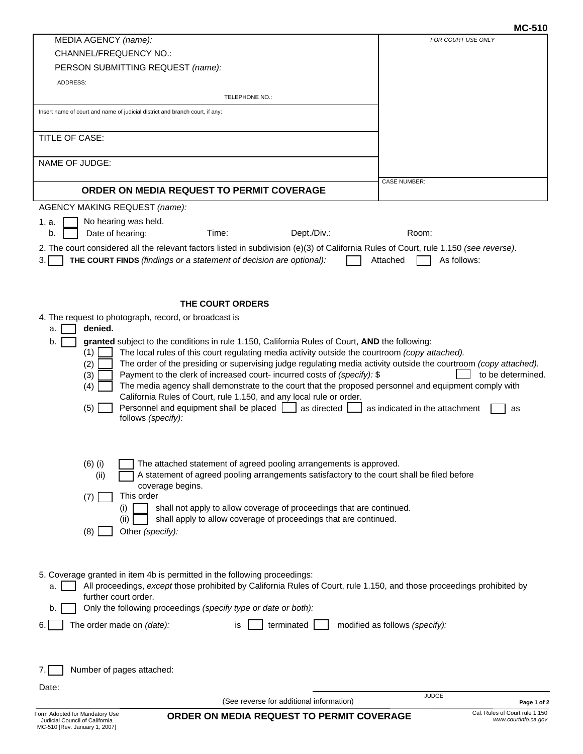# **MC-510**

| MEDIA AGENCY (name):<br><b>CHANNEL/FREQUENCY NO.:</b><br>PERSON SUBMITTING REQUEST (name):<br>ADDRESS:<br>TELEPHONE NO.:<br>Insert name of court and name of judicial district and branch court, if any:<br>TITLE OF CASE:<br>NAME OF JUDGE:<br>ORDER ON MEDIA REQUEST TO PERMIT COVERAGE<br><b>AGENCY MAKING REQUEST (name):</b><br>No hearing was held.<br>1. a.<br>Date of hearing:<br>Time:<br>Dept./Div.:<br>b.<br>2. The court considered all the relevant factors listed in subdivision (e)(3) of California Rules of Court, rule 1.150 (see reverse).<br>3.<br>THE COURT FINDS (findings or a statement of decision are optional):<br>THE COURT ORDERS<br>4. The request to photograph, record, or broadcast is<br>denied.<br>a.<br>b.<br>granted subject to the conditions in rule 1.150, California Rules of Court, AND the following:<br>(1)<br>The local rules of this court regulating media activity outside the courtroom (copy attached).<br>The order of the presiding or supervising judge regulating media activity outside the courtroom (copy attached).<br>(2)<br>Payment to the clerk of increased court- incurred costs of (specify): \$<br>(3)<br>The media agency shall demonstrate to the court that the proposed personnel and equipment comply with<br>(4)<br>California Rules of Court, rule 1.150, and any local rule or order.<br>Personnel and equipment shall be placed   as directed  <br>(5)<br>follows (specify):<br>The attached statement of agreed pooling arrangements is approved.<br>$(6)$ (i)<br>A statement of agreed pooling arrangements satisfactory to the court shall be filed before<br>(ii)<br>coverage begins.<br>This order<br>(7)<br>shall not apply to allow coverage of proceedings that are continued.<br>$\sf(1)$<br>shall apply to allow coverage of proceedings that are continued.<br>(ii)<br>(8)<br>Other (specify):<br>5. Coverage granted in item 4b is permitted in the following proceedings:<br>All proceedings, except those prohibited by California Rules of Court, rule 1.150, and those proceedings prohibited by<br>a.<br>further court order.<br>Only the following proceedings (specify type or date or both):<br>b.<br>The order made on (date):<br>terminated<br>6.<br>modified as follows (specify):<br>is.<br>Number of pages attached:<br>7. I<br>Date: |                                                        |
|------------------------------------------------------------------------------------------------------------------------------------------------------------------------------------------------------------------------------------------------------------------------------------------------------------------------------------------------------------------------------------------------------------------------------------------------------------------------------------------------------------------------------------------------------------------------------------------------------------------------------------------------------------------------------------------------------------------------------------------------------------------------------------------------------------------------------------------------------------------------------------------------------------------------------------------------------------------------------------------------------------------------------------------------------------------------------------------------------------------------------------------------------------------------------------------------------------------------------------------------------------------------------------------------------------------------------------------------------------------------------------------------------------------------------------------------------------------------------------------------------------------------------------------------------------------------------------------------------------------------------------------------------------------------------------------------------------------------------------------------------------------------------------------------------------------------------------------------------------------------------------------------------------------------------------------------------------------------------------------------------------------------------------------------------------------------------------------------------------------------------------------------------------------------------------------------------------------------------------------------------------------------------------------------------------------------------------------|--------------------------------------------------------|
|                                                                                                                                                                                                                                                                                                                                                                                                                                                                                                                                                                                                                                                                                                                                                                                                                                                                                                                                                                                                                                                                                                                                                                                                                                                                                                                                                                                                                                                                                                                                                                                                                                                                                                                                                                                                                                                                                                                                                                                                                                                                                                                                                                                                                                                                                                                                          | FOR COURT USE ONLY                                     |
|                                                                                                                                                                                                                                                                                                                                                                                                                                                                                                                                                                                                                                                                                                                                                                                                                                                                                                                                                                                                                                                                                                                                                                                                                                                                                                                                                                                                                                                                                                                                                                                                                                                                                                                                                                                                                                                                                                                                                                                                                                                                                                                                                                                                                                                                                                                                          |                                                        |
|                                                                                                                                                                                                                                                                                                                                                                                                                                                                                                                                                                                                                                                                                                                                                                                                                                                                                                                                                                                                                                                                                                                                                                                                                                                                                                                                                                                                                                                                                                                                                                                                                                                                                                                                                                                                                                                                                                                                                                                                                                                                                                                                                                                                                                                                                                                                          |                                                        |
|                                                                                                                                                                                                                                                                                                                                                                                                                                                                                                                                                                                                                                                                                                                                                                                                                                                                                                                                                                                                                                                                                                                                                                                                                                                                                                                                                                                                                                                                                                                                                                                                                                                                                                                                                                                                                                                                                                                                                                                                                                                                                                                                                                                                                                                                                                                                          |                                                        |
|                                                                                                                                                                                                                                                                                                                                                                                                                                                                                                                                                                                                                                                                                                                                                                                                                                                                                                                                                                                                                                                                                                                                                                                                                                                                                                                                                                                                                                                                                                                                                                                                                                                                                                                                                                                                                                                                                                                                                                                                                                                                                                                                                                                                                                                                                                                                          |                                                        |
|                                                                                                                                                                                                                                                                                                                                                                                                                                                                                                                                                                                                                                                                                                                                                                                                                                                                                                                                                                                                                                                                                                                                                                                                                                                                                                                                                                                                                                                                                                                                                                                                                                                                                                                                                                                                                                                                                                                                                                                                                                                                                                                                                                                                                                                                                                                                          |                                                        |
|                                                                                                                                                                                                                                                                                                                                                                                                                                                                                                                                                                                                                                                                                                                                                                                                                                                                                                                                                                                                                                                                                                                                                                                                                                                                                                                                                                                                                                                                                                                                                                                                                                                                                                                                                                                                                                                                                                                                                                                                                                                                                                                                                                                                                                                                                                                                          |                                                        |
|                                                                                                                                                                                                                                                                                                                                                                                                                                                                                                                                                                                                                                                                                                                                                                                                                                                                                                                                                                                                                                                                                                                                                                                                                                                                                                                                                                                                                                                                                                                                                                                                                                                                                                                                                                                                                                                                                                                                                                                                                                                                                                                                                                                                                                                                                                                                          |                                                        |
|                                                                                                                                                                                                                                                                                                                                                                                                                                                                                                                                                                                                                                                                                                                                                                                                                                                                                                                                                                                                                                                                                                                                                                                                                                                                                                                                                                                                                                                                                                                                                                                                                                                                                                                                                                                                                                                                                                                                                                                                                                                                                                                                                                                                                                                                                                                                          |                                                        |
|                                                                                                                                                                                                                                                                                                                                                                                                                                                                                                                                                                                                                                                                                                                                                                                                                                                                                                                                                                                                                                                                                                                                                                                                                                                                                                                                                                                                                                                                                                                                                                                                                                                                                                                                                                                                                                                                                                                                                                                                                                                                                                                                                                                                                                                                                                                                          |                                                        |
|                                                                                                                                                                                                                                                                                                                                                                                                                                                                                                                                                                                                                                                                                                                                                                                                                                                                                                                                                                                                                                                                                                                                                                                                                                                                                                                                                                                                                                                                                                                                                                                                                                                                                                                                                                                                                                                                                                                                                                                                                                                                                                                                                                                                                                                                                                                                          | <b>CASE NUMBER:</b>                                    |
|                                                                                                                                                                                                                                                                                                                                                                                                                                                                                                                                                                                                                                                                                                                                                                                                                                                                                                                                                                                                                                                                                                                                                                                                                                                                                                                                                                                                                                                                                                                                                                                                                                                                                                                                                                                                                                                                                                                                                                                                                                                                                                                                                                                                                                                                                                                                          |                                                        |
|                                                                                                                                                                                                                                                                                                                                                                                                                                                                                                                                                                                                                                                                                                                                                                                                                                                                                                                                                                                                                                                                                                                                                                                                                                                                                                                                                                                                                                                                                                                                                                                                                                                                                                                                                                                                                                                                                                                                                                                                                                                                                                                                                                                                                                                                                                                                          |                                                        |
|                                                                                                                                                                                                                                                                                                                                                                                                                                                                                                                                                                                                                                                                                                                                                                                                                                                                                                                                                                                                                                                                                                                                                                                                                                                                                                                                                                                                                                                                                                                                                                                                                                                                                                                                                                                                                                                                                                                                                                                                                                                                                                                                                                                                                                                                                                                                          | Room:                                                  |
|                                                                                                                                                                                                                                                                                                                                                                                                                                                                                                                                                                                                                                                                                                                                                                                                                                                                                                                                                                                                                                                                                                                                                                                                                                                                                                                                                                                                                                                                                                                                                                                                                                                                                                                                                                                                                                                                                                                                                                                                                                                                                                                                                                                                                                                                                                                                          |                                                        |
|                                                                                                                                                                                                                                                                                                                                                                                                                                                                                                                                                                                                                                                                                                                                                                                                                                                                                                                                                                                                                                                                                                                                                                                                                                                                                                                                                                                                                                                                                                                                                                                                                                                                                                                                                                                                                                                                                                                                                                                                                                                                                                                                                                                                                                                                                                                                          | As follows:<br>Attached                                |
|                                                                                                                                                                                                                                                                                                                                                                                                                                                                                                                                                                                                                                                                                                                                                                                                                                                                                                                                                                                                                                                                                                                                                                                                                                                                                                                                                                                                                                                                                                                                                                                                                                                                                                                                                                                                                                                                                                                                                                                                                                                                                                                                                                                                                                                                                                                                          |                                                        |
|                                                                                                                                                                                                                                                                                                                                                                                                                                                                                                                                                                                                                                                                                                                                                                                                                                                                                                                                                                                                                                                                                                                                                                                                                                                                                                                                                                                                                                                                                                                                                                                                                                                                                                                                                                                                                                                                                                                                                                                                                                                                                                                                                                                                                                                                                                                                          |                                                        |
|                                                                                                                                                                                                                                                                                                                                                                                                                                                                                                                                                                                                                                                                                                                                                                                                                                                                                                                                                                                                                                                                                                                                                                                                                                                                                                                                                                                                                                                                                                                                                                                                                                                                                                                                                                                                                                                                                                                                                                                                                                                                                                                                                                                                                                                                                                                                          |                                                        |
|                                                                                                                                                                                                                                                                                                                                                                                                                                                                                                                                                                                                                                                                                                                                                                                                                                                                                                                                                                                                                                                                                                                                                                                                                                                                                                                                                                                                                                                                                                                                                                                                                                                                                                                                                                                                                                                                                                                                                                                                                                                                                                                                                                                                                                                                                                                                          |                                                        |
|                                                                                                                                                                                                                                                                                                                                                                                                                                                                                                                                                                                                                                                                                                                                                                                                                                                                                                                                                                                                                                                                                                                                                                                                                                                                                                                                                                                                                                                                                                                                                                                                                                                                                                                                                                                                                                                                                                                                                                                                                                                                                                                                                                                                                                                                                                                                          |                                                        |
|                                                                                                                                                                                                                                                                                                                                                                                                                                                                                                                                                                                                                                                                                                                                                                                                                                                                                                                                                                                                                                                                                                                                                                                                                                                                                                                                                                                                                                                                                                                                                                                                                                                                                                                                                                                                                                                                                                                                                                                                                                                                                                                                                                                                                                                                                                                                          |                                                        |
|                                                                                                                                                                                                                                                                                                                                                                                                                                                                                                                                                                                                                                                                                                                                                                                                                                                                                                                                                                                                                                                                                                                                                                                                                                                                                                                                                                                                                                                                                                                                                                                                                                                                                                                                                                                                                                                                                                                                                                                                                                                                                                                                                                                                                                                                                                                                          |                                                        |
|                                                                                                                                                                                                                                                                                                                                                                                                                                                                                                                                                                                                                                                                                                                                                                                                                                                                                                                                                                                                                                                                                                                                                                                                                                                                                                                                                                                                                                                                                                                                                                                                                                                                                                                                                                                                                                                                                                                                                                                                                                                                                                                                                                                                                                                                                                                                          | to be determined.                                      |
|                                                                                                                                                                                                                                                                                                                                                                                                                                                                                                                                                                                                                                                                                                                                                                                                                                                                                                                                                                                                                                                                                                                                                                                                                                                                                                                                                                                                                                                                                                                                                                                                                                                                                                                                                                                                                                                                                                                                                                                                                                                                                                                                                                                                                                                                                                                                          |                                                        |
|                                                                                                                                                                                                                                                                                                                                                                                                                                                                                                                                                                                                                                                                                                                                                                                                                                                                                                                                                                                                                                                                                                                                                                                                                                                                                                                                                                                                                                                                                                                                                                                                                                                                                                                                                                                                                                                                                                                                                                                                                                                                                                                                                                                                                                                                                                                                          |                                                        |
|                                                                                                                                                                                                                                                                                                                                                                                                                                                                                                                                                                                                                                                                                                                                                                                                                                                                                                                                                                                                                                                                                                                                                                                                                                                                                                                                                                                                                                                                                                                                                                                                                                                                                                                                                                                                                                                                                                                                                                                                                                                                                                                                                                                                                                                                                                                                          | $\Box$ as indicated in the attachment<br>as            |
|                                                                                                                                                                                                                                                                                                                                                                                                                                                                                                                                                                                                                                                                                                                                                                                                                                                                                                                                                                                                                                                                                                                                                                                                                                                                                                                                                                                                                                                                                                                                                                                                                                                                                                                                                                                                                                                                                                                                                                                                                                                                                                                                                                                                                                                                                                                                          |                                                        |
|                                                                                                                                                                                                                                                                                                                                                                                                                                                                                                                                                                                                                                                                                                                                                                                                                                                                                                                                                                                                                                                                                                                                                                                                                                                                                                                                                                                                                                                                                                                                                                                                                                                                                                                                                                                                                                                                                                                                                                                                                                                                                                                                                                                                                                                                                                                                          |                                                        |
|                                                                                                                                                                                                                                                                                                                                                                                                                                                                                                                                                                                                                                                                                                                                                                                                                                                                                                                                                                                                                                                                                                                                                                                                                                                                                                                                                                                                                                                                                                                                                                                                                                                                                                                                                                                                                                                                                                                                                                                                                                                                                                                                                                                                                                                                                                                                          |                                                        |
|                                                                                                                                                                                                                                                                                                                                                                                                                                                                                                                                                                                                                                                                                                                                                                                                                                                                                                                                                                                                                                                                                                                                                                                                                                                                                                                                                                                                                                                                                                                                                                                                                                                                                                                                                                                                                                                                                                                                                                                                                                                                                                                                                                                                                                                                                                                                          |                                                        |
|                                                                                                                                                                                                                                                                                                                                                                                                                                                                                                                                                                                                                                                                                                                                                                                                                                                                                                                                                                                                                                                                                                                                                                                                                                                                                                                                                                                                                                                                                                                                                                                                                                                                                                                                                                                                                                                                                                                                                                                                                                                                                                                                                                                                                                                                                                                                          |                                                        |
|                                                                                                                                                                                                                                                                                                                                                                                                                                                                                                                                                                                                                                                                                                                                                                                                                                                                                                                                                                                                                                                                                                                                                                                                                                                                                                                                                                                                                                                                                                                                                                                                                                                                                                                                                                                                                                                                                                                                                                                                                                                                                                                                                                                                                                                                                                                                          |                                                        |
|                                                                                                                                                                                                                                                                                                                                                                                                                                                                                                                                                                                                                                                                                                                                                                                                                                                                                                                                                                                                                                                                                                                                                                                                                                                                                                                                                                                                                                                                                                                                                                                                                                                                                                                                                                                                                                                                                                                                                                                                                                                                                                                                                                                                                                                                                                                                          |                                                        |
|                                                                                                                                                                                                                                                                                                                                                                                                                                                                                                                                                                                                                                                                                                                                                                                                                                                                                                                                                                                                                                                                                                                                                                                                                                                                                                                                                                                                                                                                                                                                                                                                                                                                                                                                                                                                                                                                                                                                                                                                                                                                                                                                                                                                                                                                                                                                          |                                                        |
|                                                                                                                                                                                                                                                                                                                                                                                                                                                                                                                                                                                                                                                                                                                                                                                                                                                                                                                                                                                                                                                                                                                                                                                                                                                                                                                                                                                                                                                                                                                                                                                                                                                                                                                                                                                                                                                                                                                                                                                                                                                                                                                                                                                                                                                                                                                                          |                                                        |
|                                                                                                                                                                                                                                                                                                                                                                                                                                                                                                                                                                                                                                                                                                                                                                                                                                                                                                                                                                                                                                                                                                                                                                                                                                                                                                                                                                                                                                                                                                                                                                                                                                                                                                                                                                                                                                                                                                                                                                                                                                                                                                                                                                                                                                                                                                                                          |                                                        |
|                                                                                                                                                                                                                                                                                                                                                                                                                                                                                                                                                                                                                                                                                                                                                                                                                                                                                                                                                                                                                                                                                                                                                                                                                                                                                                                                                                                                                                                                                                                                                                                                                                                                                                                                                                                                                                                                                                                                                                                                                                                                                                                                                                                                                                                                                                                                          |                                                        |
|                                                                                                                                                                                                                                                                                                                                                                                                                                                                                                                                                                                                                                                                                                                                                                                                                                                                                                                                                                                                                                                                                                                                                                                                                                                                                                                                                                                                                                                                                                                                                                                                                                                                                                                                                                                                                                                                                                                                                                                                                                                                                                                                                                                                                                                                                                                                          |                                                        |
|                                                                                                                                                                                                                                                                                                                                                                                                                                                                                                                                                                                                                                                                                                                                                                                                                                                                                                                                                                                                                                                                                                                                                                                                                                                                                                                                                                                                                                                                                                                                                                                                                                                                                                                                                                                                                                                                                                                                                                                                                                                                                                                                                                                                                                                                                                                                          |                                                        |
|                                                                                                                                                                                                                                                                                                                                                                                                                                                                                                                                                                                                                                                                                                                                                                                                                                                                                                                                                                                                                                                                                                                                                                                                                                                                                                                                                                                                                                                                                                                                                                                                                                                                                                                                                                                                                                                                                                                                                                                                                                                                                                                                                                                                                                                                                                                                          |                                                        |
|                                                                                                                                                                                                                                                                                                                                                                                                                                                                                                                                                                                                                                                                                                                                                                                                                                                                                                                                                                                                                                                                                                                                                                                                                                                                                                                                                                                                                                                                                                                                                                                                                                                                                                                                                                                                                                                                                                                                                                                                                                                                                                                                                                                                                                                                                                                                          |                                                        |
|                                                                                                                                                                                                                                                                                                                                                                                                                                                                                                                                                                                                                                                                                                                                                                                                                                                                                                                                                                                                                                                                                                                                                                                                                                                                                                                                                                                                                                                                                                                                                                                                                                                                                                                                                                                                                                                                                                                                                                                                                                                                                                                                                                                                                                                                                                                                          |                                                        |
|                                                                                                                                                                                                                                                                                                                                                                                                                                                                                                                                                                                                                                                                                                                                                                                                                                                                                                                                                                                                                                                                                                                                                                                                                                                                                                                                                                                                                                                                                                                                                                                                                                                                                                                                                                                                                                                                                                                                                                                                                                                                                                                                                                                                                                                                                                                                          |                                                        |
|                                                                                                                                                                                                                                                                                                                                                                                                                                                                                                                                                                                                                                                                                                                                                                                                                                                                                                                                                                                                                                                                                                                                                                                                                                                                                                                                                                                                                                                                                                                                                                                                                                                                                                                                                                                                                                                                                                                                                                                                                                                                                                                                                                                                                                                                                                                                          |                                                        |
|                                                                                                                                                                                                                                                                                                                                                                                                                                                                                                                                                                                                                                                                                                                                                                                                                                                                                                                                                                                                                                                                                                                                                                                                                                                                                                                                                                                                                                                                                                                                                                                                                                                                                                                                                                                                                                                                                                                                                                                                                                                                                                                                                                                                                                                                                                                                          |                                                        |
|                                                                                                                                                                                                                                                                                                                                                                                                                                                                                                                                                                                                                                                                                                                                                                                                                                                                                                                                                                                                                                                                                                                                                                                                                                                                                                                                                                                                                                                                                                                                                                                                                                                                                                                                                                                                                                                                                                                                                                                                                                                                                                                                                                                                                                                                                                                                          | <b>JUDGE</b>                                           |
| (See reverse for additional information)                                                                                                                                                                                                                                                                                                                                                                                                                                                                                                                                                                                                                                                                                                                                                                                                                                                                                                                                                                                                                                                                                                                                                                                                                                                                                                                                                                                                                                                                                                                                                                                                                                                                                                                                                                                                                                                                                                                                                                                                                                                                                                                                                                                                                                                                                                 | Page 1 of 2                                            |
| Form Adopted for Mandatory Use<br>ORDER ON MEDIA REQUEST TO PERMIT COVERAGE<br>Judicial Council of California<br>MC-510 [Rev. January 1, 2007]                                                                                                                                                                                                                                                                                                                                                                                                                                                                                                                                                                                                                                                                                                                                                                                                                                                                                                                                                                                                                                                                                                                                                                                                                                                                                                                                                                                                                                                                                                                                                                                                                                                                                                                                                                                                                                                                                                                                                                                                                                                                                                                                                                                           | Cal. Rules of Court rule 1.150<br>www.courtinfo.ca.gov |